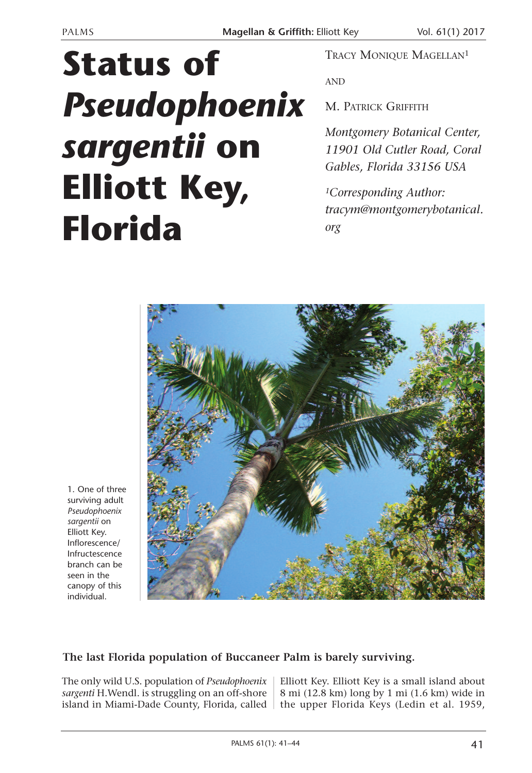## **Status of** *Pseudophoenix sargentii* **on Elliott Key, Florida**

TRACY MONIQUE MAGELLAN1

AND

M. PATRICK GRIFFITH

*Montgomery Botanical Center, 11901 Old Cutler Road, Coral Gables, Florida 33156 USA*

*1Corresponding Author: tracym@montgomerybotanical. org*



1. One of three surviving adult *Pseudophoenix sargentii* on Elliott Key. Inflorescence/ Infructescence branch can be seen in the canopy of this individual.

## **The last Florida population of Buccaneer Palm is barely surviving.**

The only wild U.S. population of *Pseudophoenix sargenti* H.Wendl. is struggling on an off-shore

island in Miami-Dade County, Florida, called | the upper Florida Keys (Ledin et al. 1959, Elliott Key. Elliott Key is a small island about 8 mi (12.8 km) long by 1 mi (1.6 km) wide in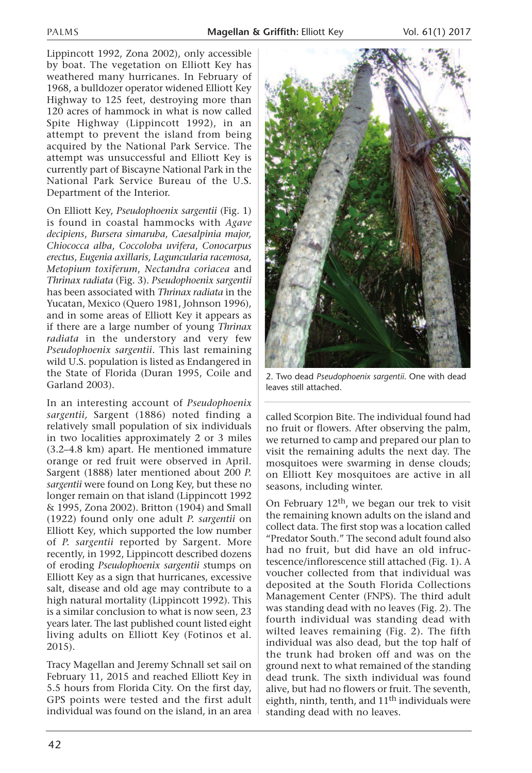Lippincott 1992, Zona 2002), only accessible by boat. The vegetation on Elliott Key has weathered many hurricanes. In February of 1968, a bulldozer operator widened Elliott Key Highway to 125 feet, destroying more than 120 acres of hammock in what is now called Spite Highway (Lippincott 1992), in an attempt to prevent the island from being acquired by the National Park Service. The attempt was unsuccessful and Elliott Key is currently part of Biscayne National Park in the National Park Service Bureau of the U.S. Department of the Interior.

On Elliott Key, *Pseudophoenix sargentii* (Fig. 1) is found in coastal hammocks with *Agave decipiens*, *Bursera simaruba*, *Caesalpinia major, Chiococca alba*, *Coccoloba uvifera*, *Conocarpus erectus*, *Eugenia axillaris, Laguncularia racemosa, Metopium toxiferum*, *Nectandra coriacea* and *Thrinax radiata* (Fig. 3). *Pseudophoenix sargentii* has been associated with *Thrinax radiata* in the Yucatan, Mexico (Quero 1981, Johnson 1996), and in some areas of Elliott Key it appears as if there are a large number of young *Thrinax radiata* in the understory and very few *Pseudophoenix sargentii*. This last remaining wild U.S. population is listed as Endangered in the State of Florida (Duran 1995, Coile and Garland 2003).

In an interesting account of *Pseudophoenix sargentii,* Sargent (1886) noted finding a relatively small population of six individuals in two localities approximately 2 or 3 miles (3.2–4.8 km) apart. He mentioned immature orange or red fruit were observed in April. Sargent (1888) later mentioned about 200 *P. sargentii* were found on Long Key, but these no longer remain on that island (Lippincott 1992 & 1995, Zona 2002). Britton (1904) and Small (1922) found only one adult *P. sargentii* on Elliott Key, which supported the low number of *P. sargentii* reported by Sargent. More recently, in 1992, Lippincott described dozens of eroding *Pseudophoenix sargentii s*tumps on Elliott Key as a sign that hurricanes, excessive salt, disease and old age may contribute to a high natural mortality (Lippincott 1992). This is a similar conclusion to what is now seen, 23 years later. The last published count listed eight living adults on Elliott Key (Fotinos et al. 2015).

Tracy Magellan and Jeremy Schnall set sail on February 11, 2015 and reached Elliott Key in 5.5 hours from Florida City. On the first day, GPS points were tested and the first adult individual was found on the island, in an area



2. Two dead *Pseudophoenix sargentii*. One with dead leaves still attached.

called Scorpion Bite. The individual found had no fruit or flowers. After observing the palm, we returned to camp and prepared our plan to visit the remaining adults the next day. The mosquitoes were swarming in dense clouds; on Elliott Key mosquitoes are active in all seasons, including winter.

On February  $12<sup>th</sup>$ , we began our trek to visit the remaining known adults on the island and collect data. The first stop was a location called "Predator South." The second adult found also had no fruit, but did have an old infructescence/inflorescence still attached (Fig. 1). A voucher collected from that individual was deposited at the South Florida Collections Management Center (FNPS). The third adult was standing dead with no leaves (Fig. 2). The fourth individual was standing dead with wilted leaves remaining (Fig. 2). The fifth individual was also dead, but the top half of the trunk had broken off and was on the ground next to what remained of the standing dead trunk. The sixth individual was found alive, but had no flowers or fruit. The seventh, eighth, ninth, tenth, and  $11<sup>th</sup>$  individuals were standing dead with no leaves.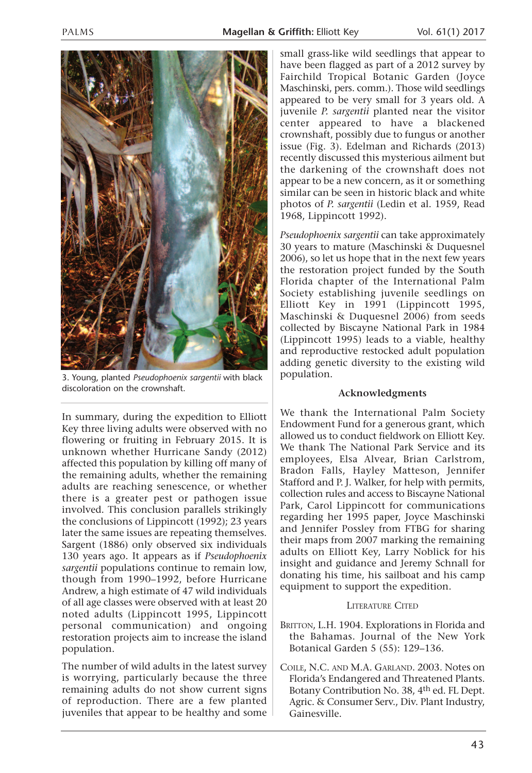

3. Young, planted *Pseudophoenix sargentii* with black discoloration on the crownshaft.

In summary, during the expedition to Elliott Key three living adults were observed with no flowering or fruiting in February 2015. It is unknown whether Hurricane Sandy (2012) affected this population by killing off many of the remaining adults, whether the remaining adults are reaching senescence, or whether there is a greater pest or pathogen issue involved. This conclusion parallels strikingly the conclusions of Lippincott (1992); 23 years later the same issues are repeating themselves. Sargent (1886) only observed six individuals 130 years ago. It appears as if *Pseudophoenix sargentii* populations continue to remain low, though from 1990–1992, before Hurricane Andrew, a high estimate of 47 wild individuals of all age classes were observed with at least 20 noted adults (Lippincott 1995, Lippincott personal communication) and ongoing restoration projects aim to increase the island population.

The number of wild adults in the latest survey is worrying, particularly because the three remaining adults do not show current signs of reproduction. There are a few planted juveniles that appear to be healthy and some small grass-like wild seedlings that appear to have been flagged as part of a 2012 survey by Fairchild Tropical Botanic Garden (Joyce Maschinski, pers. comm.). Those wild seedlings appeared to be very small for 3 years old. A juvenile *P. sargentii* planted near the visitor center appeared to have a blackened crownshaft, possibly due to fungus or another issue (Fig. 3). Edelman and Richards (2013) recently discussed this mysterious ailment but the darkening of the crownshaft does not appear to be a new concern, as it or something similar can be seen in historic black and white photos of *P. sargentii* (Ledin et al. 1959, Read 1968, Lippincott 1992).

*Pseudophoenix sargentii* can take approximately 30 years to mature (Maschinski & Duquesnel 2006), so let us hope that in the next few years the restoration project funded by the South Florida chapter of the International Palm Society establishing juvenile seedlings on Elliott Key in 1991 (Lippincott 1995, Maschinski & Duquesnel 2006) from seeds collected by Biscayne National Park in 1984 (Lippincott 1995) leads to a viable, healthy and reproductive restocked adult population adding genetic diversity to the existing wild population.

## **Acknowledgments**

We thank the International Palm Society Endowment Fund for a generous grant, which allowed us to conduct fieldwork on Elliott Key. We thank The National Park Service and its employees, Elsa Alvear, Brian Carlstrom, Bradon Falls, Hayley Matteson, Jennifer Stafford and P. J. Walker, for help with permits, collection rules and access to Biscayne National Park, Carol Lippincott for communications regarding her 1995 paper, Joyce Maschinski and Jennifer Possley from FTBG for sharing their maps from 2007 marking the remaining adults on Elliott Key, Larry Noblick for his insight and guidance and Jeremy Schnall for donating his time, his sailboat and his camp equipment to support the expedition.

## LITERATURE CITED

- BRITTON, L.H. 1904. Explorations in Florida and the Bahamas. Journal of the New York Botanical Garden 5 (55): 129–136.
- COILE, N.C. AND M.A. GARLAND. 2003. Notes on Florida's Endangered and Threatened Plants. Botany Contribution No. 38, 4th ed. FL Dept. Agric. & Consumer Serv., Div. Plant Industry, Gainesville.